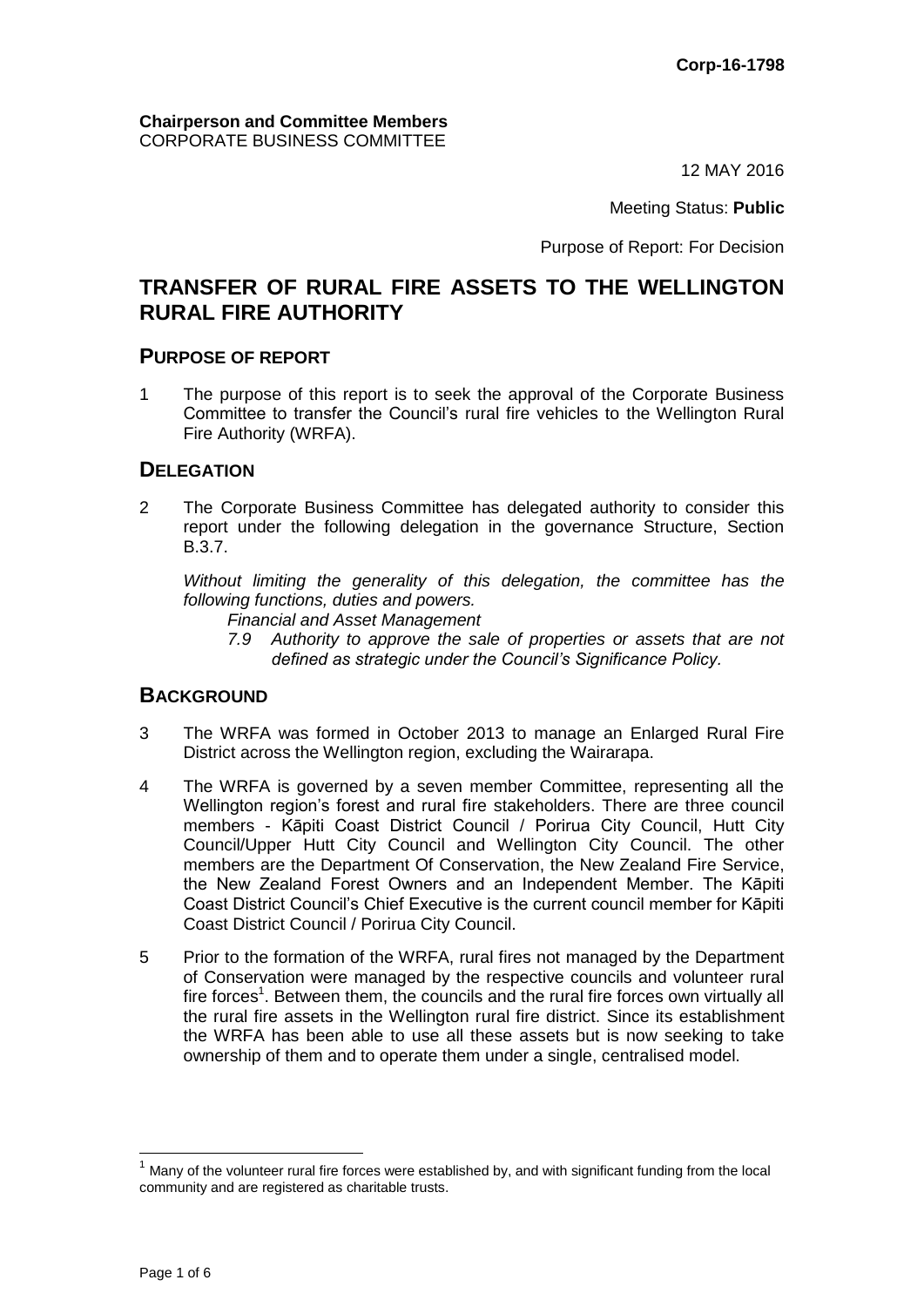12 MAY 2016

Meeting Status: **Public**

Purpose of Report: For Decision

## **TRANSFER OF RURAL FIRE ASSETS TO THE WELLINGTON RURAL FIRE AUTHORITY**

#### **PURPOSE OF REPORT**

1 The purpose of this report is to seek the approval of the Corporate Business Committee to transfer the Council's rural fire vehicles to the Wellington Rural Fire Authority (WRFA).

## **DELEGATION**

2 The Corporate Business Committee has delegated authority to consider this report under the following delegation in the governance Structure, Section B.3.7.

*Without limiting the generality of this delegation, the committee has the following functions, duties and powers.*

- *Financial and Asset Management*
- *7.9 Authority to approve the sale of properties or assets that are not defined as strategic under the Council's Significance Policy.*

## **BACKGROUND**

- 3 The WRFA was formed in October 2013 to manage an Enlarged Rural Fire District across the Wellington region, excluding the Wairarapa.
- 4 The WRFA is governed by a seven member Committee, representing all the Wellington region's forest and rural fire stakeholders. There are three council members - Kāpiti Coast District Council / Porirua City Council, Hutt City Council/Upper Hutt City Council and Wellington City Council. The other members are the Department Of Conservation, the New Zealand Fire Service, the New Zealand Forest Owners and an Independent Member. The Kāpiti Coast District Council's Chief Executive is the current council member for Kāpiti Coast District Council / Porirua City Council.
- 5 Prior to the formation of the WRFA, rural fires not managed by the Department of Conservation were managed by the respective councils and volunteer rural fire forces<sup>1</sup>. Between them, the councils and the rural fire forces own virtually all the rural fire assets in the Wellington rural fire district. Since its establishment the WRFA has been able to use all these assets but is now seeking to take ownership of them and to operate them under a single, centralised model.

 $\overline{a}$ 

 $<sup>1</sup>$  Many of the volunteer rural fire forces were established by, and with significant funding from the local</sup> community and are registered as charitable trusts.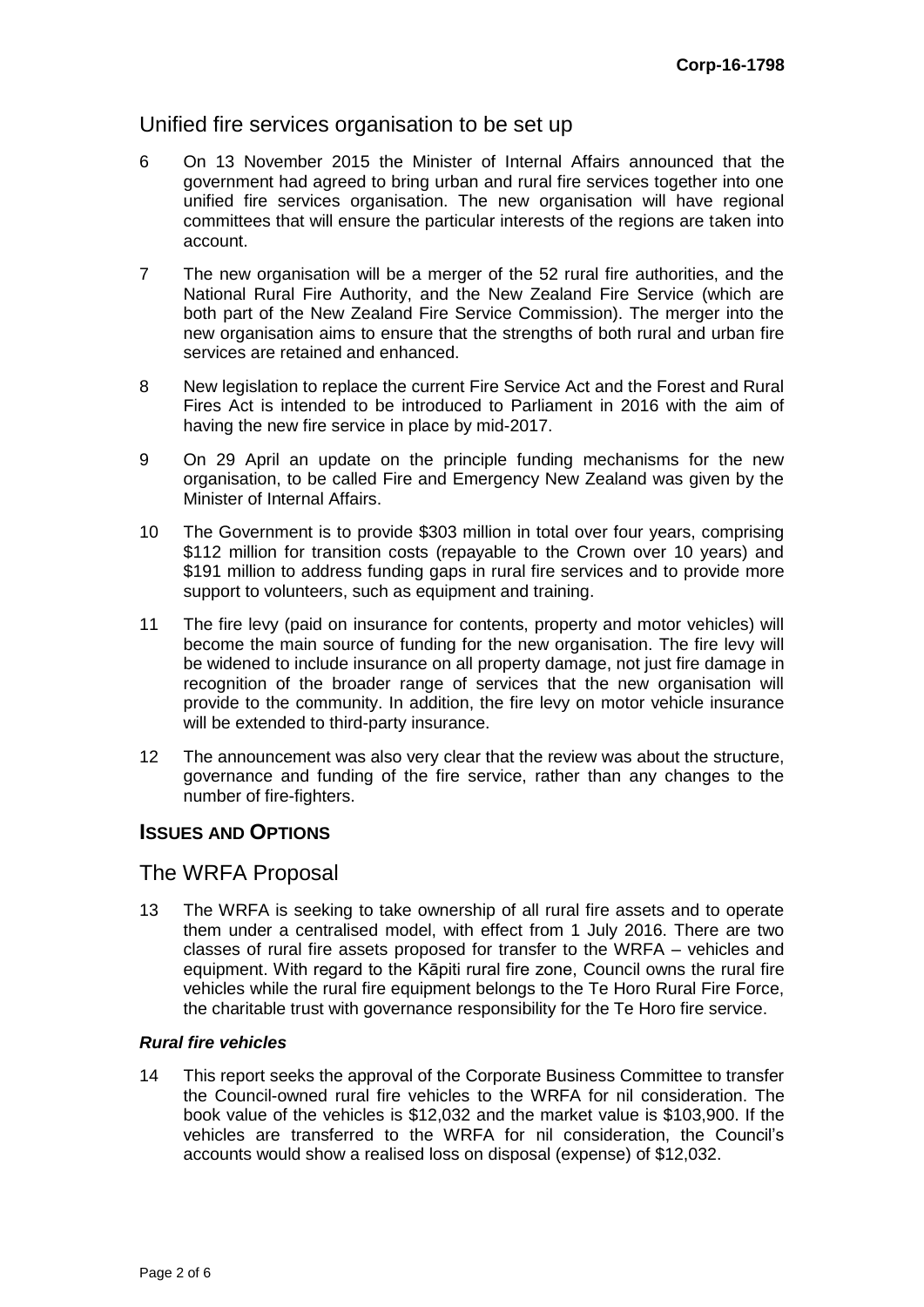## Unified fire services organisation to be set up

- 6 On 13 November 2015 the Minister of Internal Affairs announced that the government had agreed to bring urban and rural fire services together into one unified fire services organisation. The new organisation will have regional committees that will ensure the particular interests of the regions are taken into account.
- 7 The new organisation will be a merger of the 52 rural fire authorities, and the National Rural Fire Authority, and the New Zealand Fire Service (which are both part of the New Zealand Fire Service Commission). The merger into the new organisation aims to ensure that the strengths of both rural and urban fire services are retained and enhanced.
- 8 New legislation to replace the current Fire Service Act and the Forest and Rural Fires Act is intended to be introduced to Parliament in 2016 with the aim of having the new fire service in place by mid-2017.
- 9 On 29 April an update on the principle funding mechanisms for the new organisation, to be called Fire and Emergency New Zealand was given by the Minister of Internal Affairs.
- 10 The Government is to provide \$303 million in total over four years, comprising \$112 million for transition costs (repayable to the Crown over 10 years) and \$191 million to address funding gaps in rural fire services and to provide more support to volunteers, such as equipment and training.
- 11 The fire levy (paid on insurance for contents, property and motor vehicles) will become the main source of funding for the new organisation. The fire levy will be widened to include insurance on all property damage, not just fire damage in recognition of the broader range of services that the new organisation will provide to the community. In addition, the fire levy on motor vehicle insurance will be extended to third-party insurance.
- 12 The announcement was also very clear that the review was about the structure, governance and funding of the fire service, rather than any changes to the number of fire-fighters.

## **ISSUES AND OPTIONS**

## The WRFA Proposal

13 The WRFA is seeking to take ownership of all rural fire assets and to operate them under a centralised model, with effect from 1 July 2016. There are two classes of rural fire assets proposed for transfer to the WRFA – vehicles and equipment. With regard to the Kāpiti rural fire zone, Council owns the rural fire vehicles while the rural fire equipment belongs to the Te Horo Rural Fire Force, the charitable trust with governance responsibility for the Te Horo fire service.

#### *Rural fire vehicles*

14 This report seeks the approval of the Corporate Business Committee to transfer the Council-owned rural fire vehicles to the WRFA for nil consideration. The book value of the vehicles is \$12,032 and the market value is \$103,900. If the vehicles are transferred to the WRFA for nil consideration, the Council's accounts would show a realised loss on disposal (expense) of \$12,032.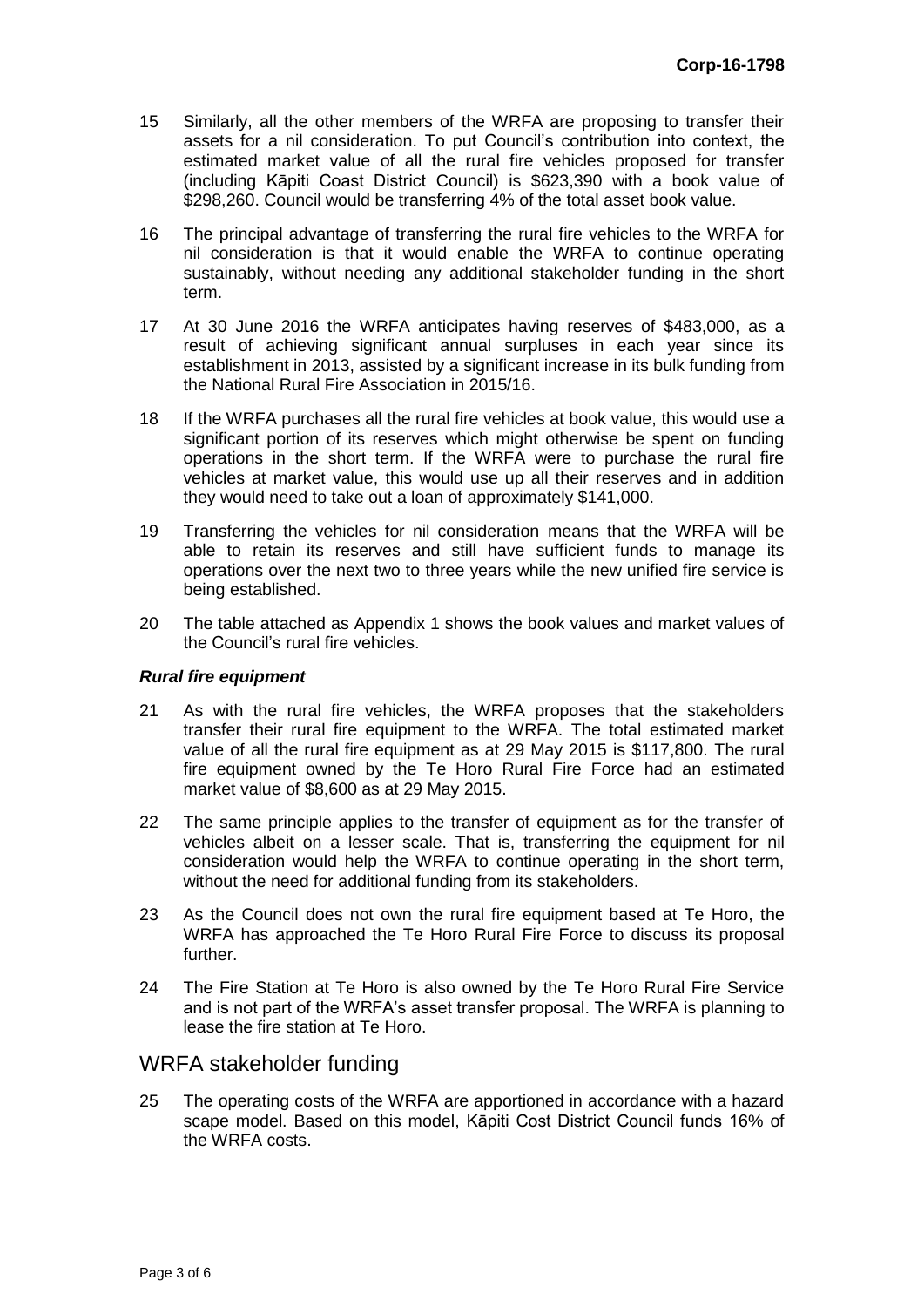- 15 Similarly, all the other members of the WRFA are proposing to transfer their assets for a nil consideration. To put Council's contribution into context, the estimated market value of all the rural fire vehicles proposed for transfer (including Kāpiti Coast District Council) is \$623,390 with a book value of \$298,260. Council would be transferring 4% of the total asset book value.
- 16 The principal advantage of transferring the rural fire vehicles to the WRFA for nil consideration is that it would enable the WRFA to continue operating sustainably, without needing any additional stakeholder funding in the short term.
- 17 At 30 June 2016 the WRFA anticipates having reserves of \$483,000, as a result of achieving significant annual surpluses in each year since its establishment in 2013, assisted by a significant increase in its bulk funding from the National Rural Fire Association in 2015/16.
- 18 If the WRFA purchases all the rural fire vehicles at book value, this would use a significant portion of its reserves which might otherwise be spent on funding operations in the short term. If the WRFA were to purchase the rural fire vehicles at market value, this would use up all their reserves and in addition they would need to take out a loan of approximately \$141,000.
- 19 Transferring the vehicles for nil consideration means that the WRFA will be able to retain its reserves and still have sufficient funds to manage its operations over the next two to three years while the new unified fire service is being established.
- 20 The table attached as Appendix 1 shows the book values and market values of the Council's rural fire vehicles.

#### *Rural fire equipment*

- 21 As with the rural fire vehicles, the WRFA proposes that the stakeholders transfer their rural fire equipment to the WRFA. The total estimated market value of all the rural fire equipment as at 29 May 2015 is \$117,800. The rural fire equipment owned by the Te Horo Rural Fire Force had an estimated market value of \$8,600 as at 29 May 2015.
- 22 The same principle applies to the transfer of equipment as for the transfer of vehicles albeit on a lesser scale. That is, transferring the equipment for nil consideration would help the WRFA to continue operating in the short term, without the need for additional funding from its stakeholders.
- 23 As the Council does not own the rural fire equipment based at Te Horo, the WRFA has approached the Te Horo Rural Fire Force to discuss its proposal further.
- 24 The Fire Station at Te Horo is also owned by the Te Horo Rural Fire Service and is not part of the WRFA's asset transfer proposal. The WRFA is planning to lease the fire station at Te Horo.

## WRFA stakeholder funding

25 The operating costs of the WRFA are apportioned in accordance with a hazard scape model. Based on this model, Kāpiti Cost District Council funds 16% of the WRFA costs.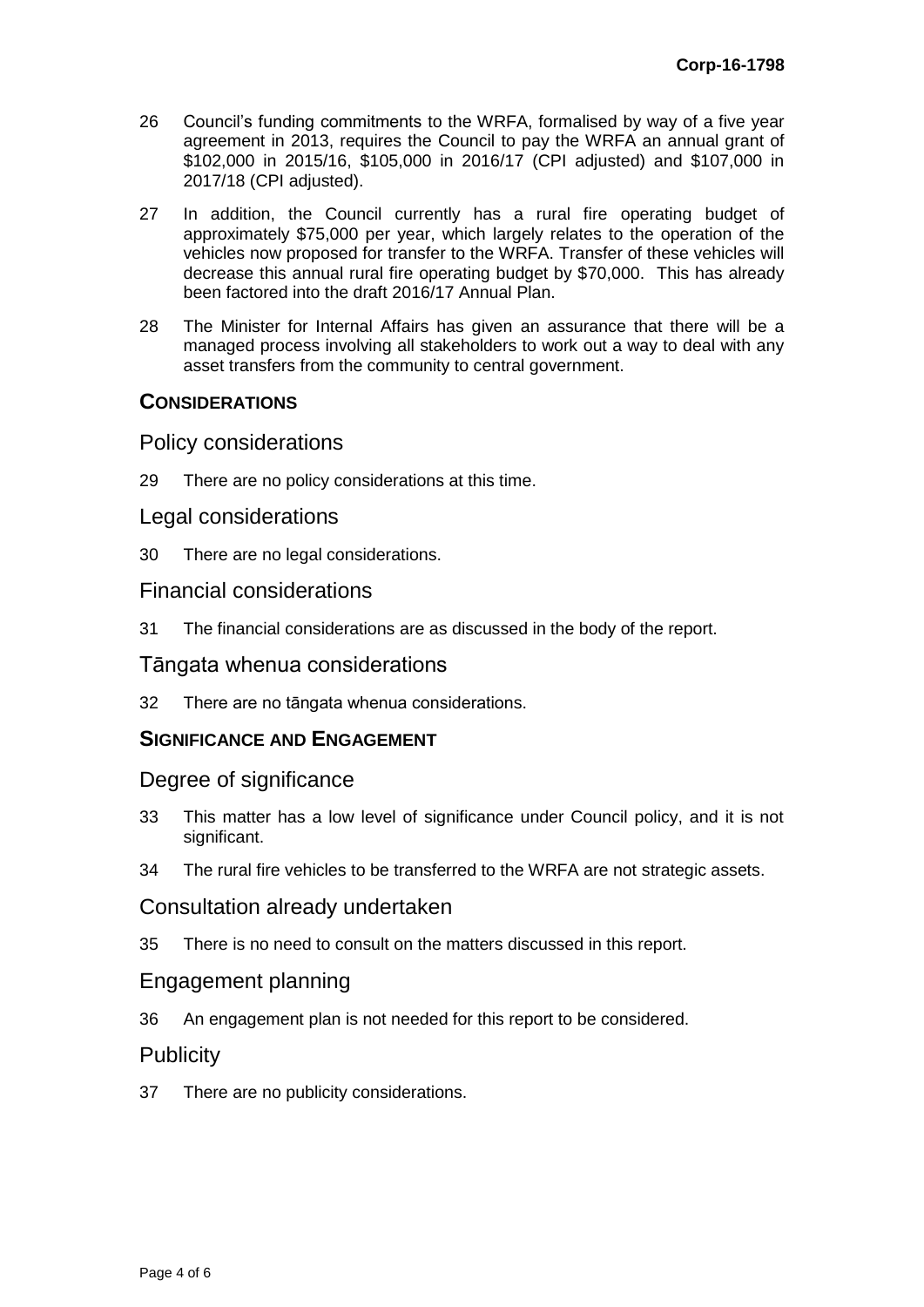- 26 Council's funding commitments to the WRFA, formalised by way of a five year agreement in 2013, requires the Council to pay the WRFA an annual grant of \$102,000 in 2015/16, \$105,000 in 2016/17 (CPI adjusted) and \$107,000 in 2017/18 (CPI adjusted).
- 27 In addition, the Council currently has a rural fire operating budget of approximately \$75,000 per year, which largely relates to the operation of the vehicles now proposed for transfer to the WRFA. Transfer of these vehicles will decrease this annual rural fire operating budget by \$70,000. This has already been factored into the draft 2016/17 Annual Plan.
- 28 The Minister for Internal Affairs has given an assurance that there will be a managed process involving all stakeholders to work out a way to deal with any asset transfers from the community to central government.

## **CONSIDERATIONS**

#### Policy considerations

29 There are no policy considerations at this time.

## Legal considerations

30 There are no legal considerations.

#### Financial considerations

31 The financial considerations are as discussed in the body of the report.

#### Tāngata whenua considerations

32 There are no tāngata whenua considerations.

## **SIGNIFICANCE AND ENGAGEMENT**

#### Degree of significance

- 33 This matter has a low level of significance under Council policy, and it is not significant.
- 34 The rural fire vehicles to be transferred to the WRFA are not strategic assets.

#### Consultation already undertaken

35 There is no need to consult on the matters discussed in this report.

#### Engagement planning

36 An engagement plan is not needed for this report to be considered.

## **Publicity**

37 There are no publicity considerations.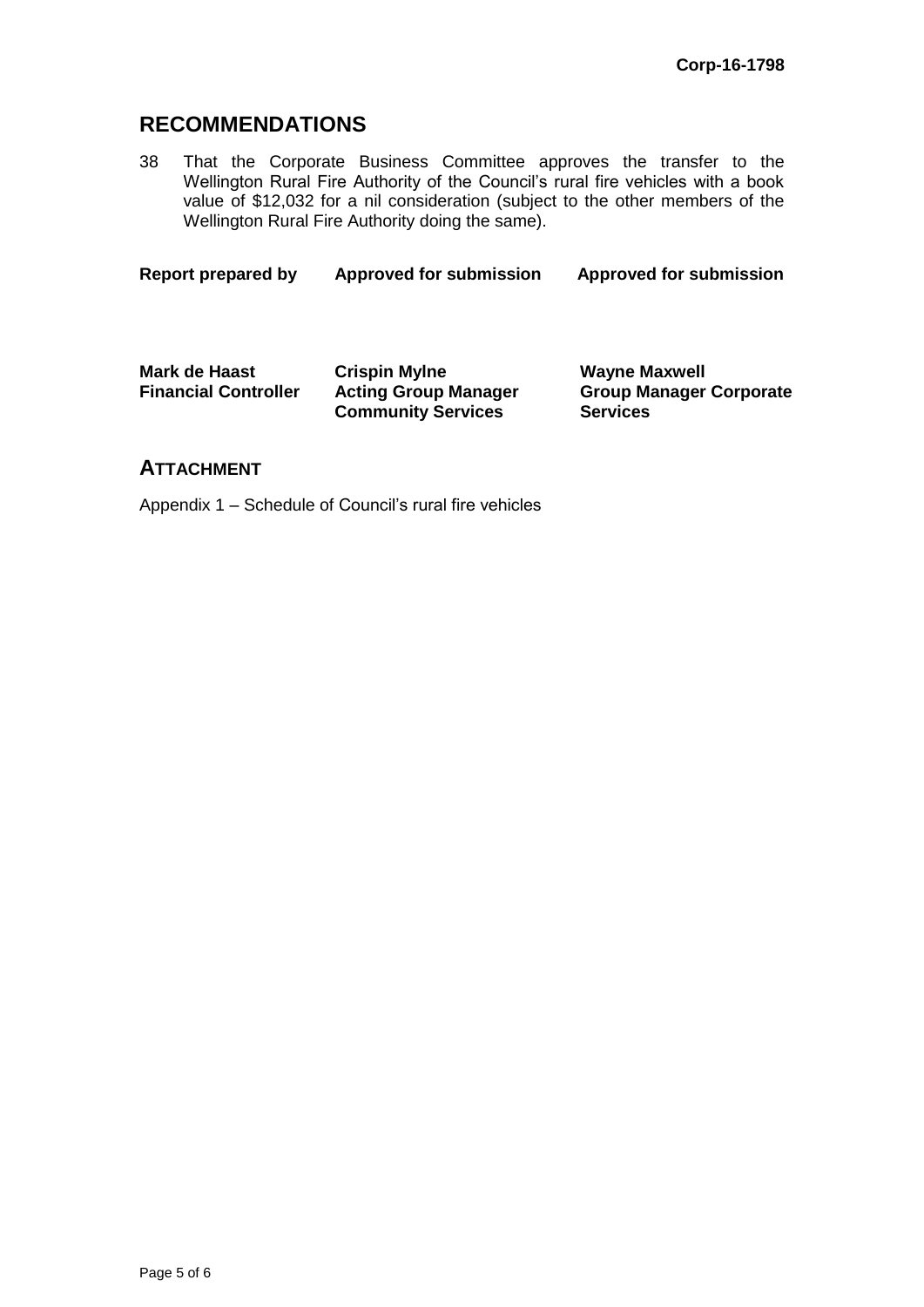# **RECOMMENDATIONS**

38 That the Corporate Business Committee approves the transfer to the Wellington Rural Fire Authority of the Council's rural fire vehicles with a book value of \$12,032 for a nil consideration (subject to the other members of the Wellington Rural Fire Authority doing the same).

**Report prepared by Approved for submission Approved for submission**

| Mark de Haast               | <b>Crispin Mylne</b>        | <b>Wayne Maxwell</b>           |
|-----------------------------|-----------------------------|--------------------------------|
| <b>Financial Controller</b> | <b>Acting Group Manager</b> | <b>Group Manager Corporate</b> |
|                             | <b>Community Services</b>   | <b>Services</b>                |

## **ATTACHMENT**

Appendix 1 – Schedule of Council's rural fire vehicles